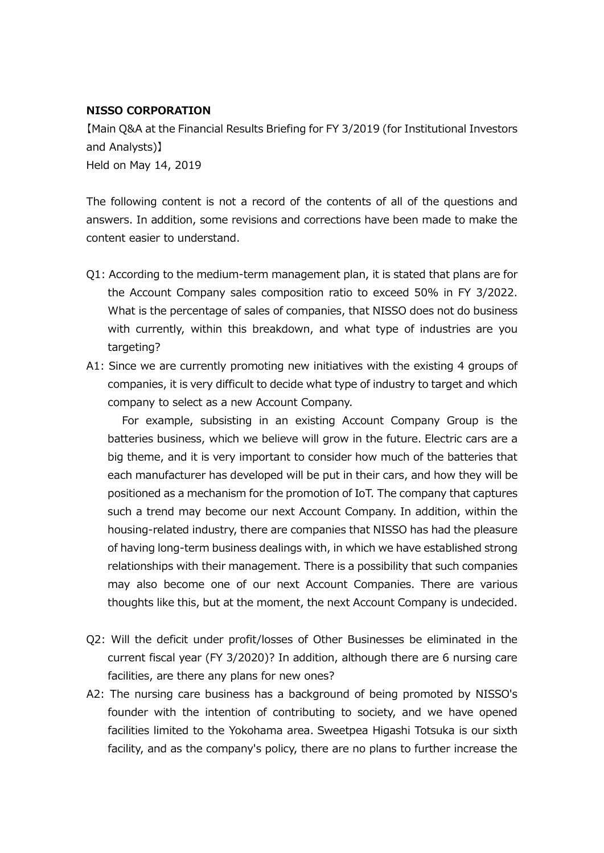## **NISSO CORPORATION**

【Main Q&A at the Financial Results Briefing for FY 3/2019 (for Institutional Investors and Analysts)】 Held on May 14, 2019

The following content is not a record of the contents of all of the questions and answers. In addition, some revisions and corrections have been made to make the content easier to understand.

- Q1: According to the medium-term management plan, it is stated that plans are for the Account Company sales composition ratio to exceed 50% in FY 3/2022. What is the percentage of sales of companies, that NISSO does not do business with currently, within this breakdown, and what type of industries are you targeting?
- A1: Since we are currently promoting new initiatives with the existing 4 groups of companies, it is very difficult to decide what type of industry to target and which company to select as a new Account Company.

For example, subsisting in an existing Account Company Group is the batteries business, which we believe will grow in the future. Electric cars are a big theme, and it is very important to consider how much of the batteries that each manufacturer has developed will be put in their cars, and how they will be positioned as a mechanism for the promotion of IoT. The company that captures such a trend may become our next Account Company. In addition, within the housing-related industry, there are companies that NISSO has had the pleasure of having long-term business dealings with, in which we have established strong relationships with their management. There is a possibility that such companies may also become one of our next Account Companies. There are various thoughts like this, but at the moment, the next Account Company is undecided.

- Q2: Will the deficit under profit/losses of Other Businesses be eliminated in the current fiscal year (FY 3/2020)? In addition, although there are 6 nursing care facilities, are there any plans for new ones?
- A2: The nursing care business has a background of being promoted by NISSO's founder with the intention of contributing to society, and we have opened facilities limited to the Yokohama area. Sweetpea Higashi Totsuka is our sixth facility, and as the company's policy, there are no plans to further increase the